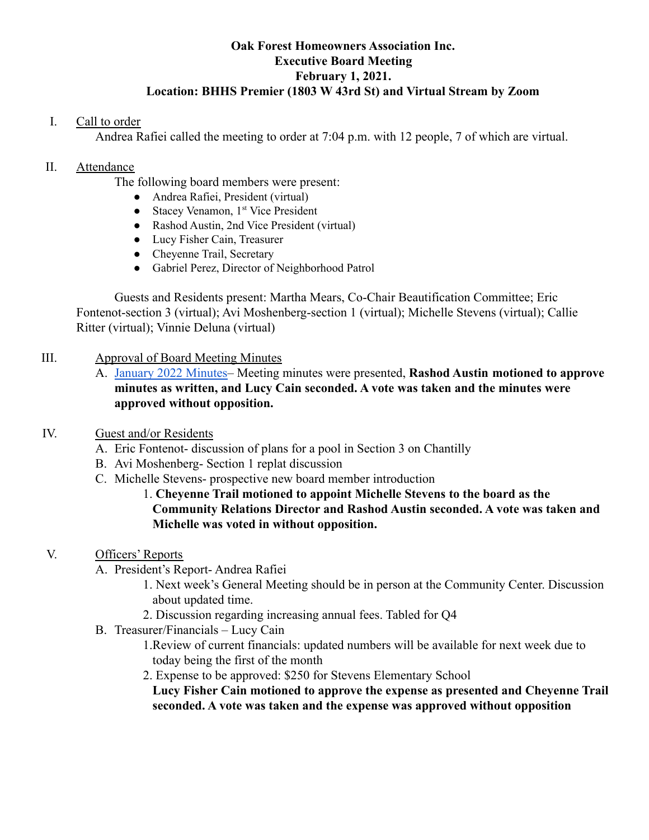### **Oak Forest Homeowners Association Inc. Executive Board Meeting February 1, 2021. Location: BHHS Premier (1803 W 43rd St) and Virtual Stream by Zoom**

## I. Call to order

Andrea Rafiei called the meeting to order at 7:04 p.m. with 12 people, 7 of which are virtual.

### II. Attendance

The following board members were present:

- Andrea Rafiei, President (virtual)
- Stacey Venamon, 1<sup>st</sup> Vice President
- Rashod Austin, 2nd Vice President (virtual)
- Lucy Fisher Cain, Treasurer
- Cheyenne Trail, Secretary
- Gabriel Perez, Director of Neighborhood Patrol

Guests and Residents present: Martha Mears, Co-Chair Beautification Committee; Eric Fontenot-section 3 (virtual); Avi Moshenberg-section 1 (virtual); Michelle Stevens (virtual); Callie Ritter (virtual); Vinnie Deluna (virtual)

## III. Approval of Board Meeting Minutes

A. [January 2022 Minutes–](https://drive.google.com/file/d/1ktPiIdOTz0o1RV-nM_d_EC18WcG3UGQI/view?usp=sharing) Meeting minutes were presented, **Rashod Austin motioned to approve minutes as written, and Lucy Cain seconded. A vote was taken and the minutes were approved without opposition.**

# IV. Guest and/or Residents

- A. Eric Fontenot- discussion of plans for a pool in Section 3 on Chantilly
- B. Avi Moshenberg- Section 1 replat discussion
- C. Michelle Stevens- prospective new board member introduction

## 1. **Cheyenne Trail motioned to appoint Michelle Stevens to the board as the Community Relations Director and Rashod Austin seconded. A vote was taken and Michelle was voted in without opposition.**

# V. Officers' Reports

- A. President's Report- Andrea Rafiei
	- 1. Next week's General Meeting should be in person at the Community Center. Discussion about updated time.
	- 2. Discussion regarding increasing annual fees. Tabled for Q4
- B. Treasurer/Financials Lucy Cain
	- 1.Review of current financials: updated numbers will be available for next week due to today being the first of the month
	- 2. Expense to be approved: \$250 for Stevens Elementary School

**Lucy Fisher Cain motioned to approve the expense as presented and Cheyenne Trail seconded. A vote was taken and the expense was approved without opposition**